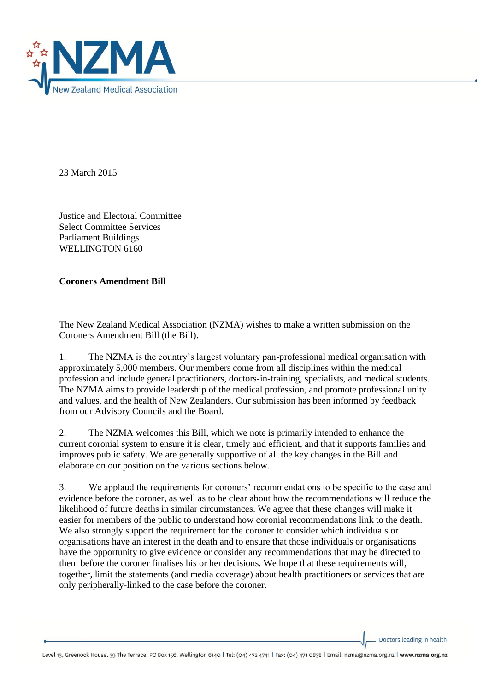

23 March 2015

Justice and Electoral Committee Select Committee Services Parliament Buildings WELLINGTON 6160

**Coroners Amendment Bill**

The New Zealand Medical Association (NZMA) wishes to make a written submission on the Coroners Amendment Bill (the Bill).

1. The NZMA is the country's largest voluntary pan-professional medical organisation with approximately 5,000 members. Our members come from all disciplines within the medical profession and include general practitioners, doctors-in-training, specialists, and medical students. The NZMA aims to provide leadership of the medical profession, and promote professional unity and values, and the health of New Zealanders. Our submission has been informed by feedback from our Advisory Councils and the Board.

2. The NZMA welcomes this Bill, which we note is primarily intended to enhance the current coronial system to ensure it is clear, timely and efficient, and that it supports families and improves public safety. We are generally supportive of all the key changes in the Bill and elaborate on our position on the various sections below.

3. We applaud the requirements for coroners' recommendations to be specific to the case and evidence before the coroner, as well as to be clear about how the recommendations will reduce the likelihood of future deaths in similar circumstances. We agree that these changes will make it easier for members of the public to understand how coronial recommendations link to the death. We also strongly support the requirement for the coroner to consider which individuals or organisations have an interest in the death and to ensure that those individuals or organisations have the opportunity to give evidence or consider any recommendations that may be directed to them before the coroner finalises his or her decisions. We hope that these requirements will, together, limit the statements (and media coverage) about health practitioners or services that are only peripherally-linked to the case before the coroner.

Doctors leading in health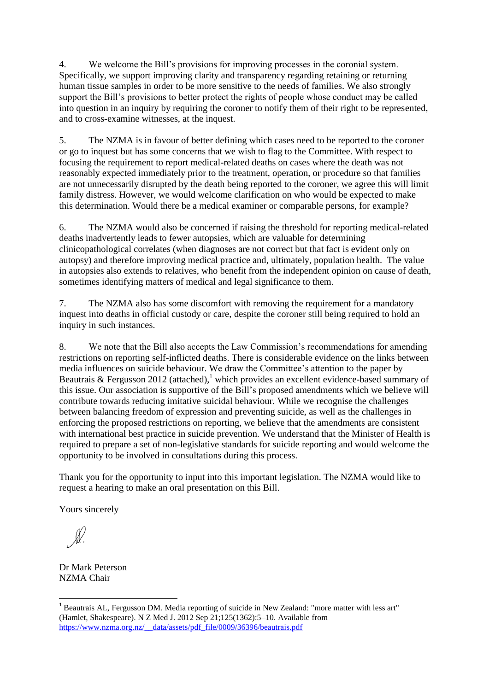4. We welcome the Bill's provisions for improving processes in the coronial system. Specifically, we support improving clarity and transparency regarding retaining or returning human tissue samples in order to be more sensitive to the needs of families. We also strongly support the Bill's provisions to better protect the rights of people whose conduct may be called into question in an inquiry by requiring the coroner to notify them of their right to be represented, and to cross-examine witnesses, at the inquest.

5. The NZMA is in favour of better defining which cases need to be reported to the coroner or go to inquest but has some concerns that we wish to flag to the Committee. With respect to focusing the requirement to report medical-related deaths on cases where the death was not reasonably expected immediately prior to the treatment, operation, or procedure so that families are not unnecessarily disrupted by the death being reported to the coroner, we agree this will limit family distress. However, we would welcome clarification on who would be expected to make this determination. Would there be a medical examiner or comparable persons, for example?

6. The NZMA would also be concerned if raising the threshold for reporting medical-related deaths inadvertently leads to fewer autopsies, which are valuable for determining clinicopathological correlates (when diagnoses are not correct but that fact is evident only on autopsy) and therefore improving medical practice and, ultimately, population health. The value in autopsies also extends to relatives, who benefit from the independent opinion on cause of death, sometimes identifying matters of medical and legal significance to them.

7. The NZMA also has some discomfort with removing the requirement for a mandatory inquest into deaths in official custody or care, despite the coroner still being required to hold an inquiry in such instances.

8. We note that the Bill also accepts the Law Commission's recommendations for amending restrictions on reporting self-inflicted deaths. There is considerable evidence on the links between media influences on suicide behaviour. We draw the Committee's attention to the paper by Beautrais & Fergusson 2012 (attached),<sup>1</sup> which provides an excellent evidence-based summary of this issue. Our association is supportive of the Bill's proposed amendments which we believe will contribute towards reducing imitative suicidal behaviour. While we recognise the challenges between balancing freedom of expression and preventing suicide, as well as the challenges in enforcing the proposed restrictions on reporting, we believe that the amendments are consistent with international best practice in suicide prevention. We understand that the Minister of Health is required to prepare a set of non-legislative standards for suicide reporting and would welcome the opportunity to be involved in consultations during this process.

Thank you for the opportunity to input into this important legislation. The NZMA would like to request a hearing to make an oral presentation on this Bill.

Yours sincerely

**.** 

Dr Mark Peterson NZMA Chair

<sup>&</sup>lt;sup>1</sup> Beautrais AL, Fergusson DM. Media reporting of suicide in New Zealand: "more matter with less art" (Hamlet, Shakespeare). N Z Med J. 2012 Sep 21;125(1362):5–10. Available from [https://www.nzma.org.nz/\\_\\_data/assets/pdf\\_file/0009/36396/beautrais.pdf](https://www.nzma.org.nz/__data/assets/pdf_file/0009/36396/beautrais.pdf)